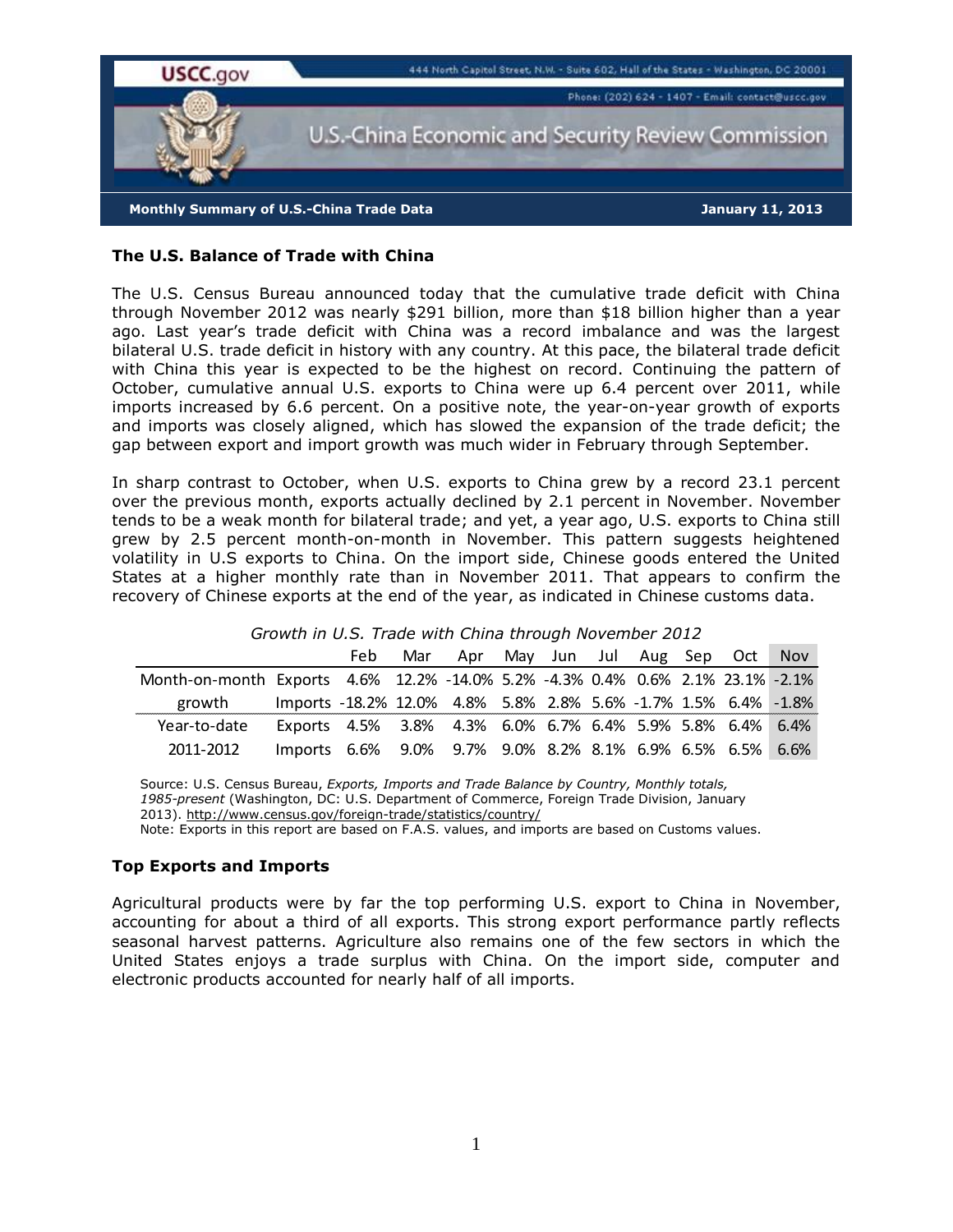

## **The U.S. Balance of Trade with China**

The U.S. Census Bureau announced today that the cumulative trade deficit with China through November 2012 was nearly \$291 billion, more than \$18 billion higher than a year ago. Last year's trade deficit with China was a record imbalance and was the largest bilateral U.S. trade deficit in history with any country. At this pace, the bilateral trade deficit with China this year is expected to be the highest on record. Continuing the pattern of October, cumulative annual U.S. exports to China were up 6.4 percent over 2011, while imports increased by 6.6 percent. On a positive note, the year-on-year growth of exports and imports was closely aligned, which has slowed the expansion of the trade deficit; the gap between export and import growth was much wider in February through September.

In sharp contrast to October, when U.S. exports to China grew by a record 23.1 percent over the previous month, exports actually declined by 2.1 percent in November. November tends to be a weak month for bilateral trade; and yet, a year ago, U.S. exports to China still grew by 2.5 percent month-on-month in November. This pattern suggests heightened volatility in U.S exports to China. On the import side, Chinese goods entered the United States at a higher monthly rate than in November 2011. That appears to confirm the recovery of Chinese exports at the end of the year, as indicated in Chinese customs data.

|                                                                                |                                                                | Feb | Mar | Apr May Jun Jul Aug Sep Oct Nov |  |  |  |  |
|--------------------------------------------------------------------------------|----------------------------------------------------------------|-----|-----|---------------------------------|--|--|--|--|
| Month-on-month Exports 4.6% 12.2% -14.0% 5.2% -4.3% 0.4% 0.6% 2.1% 23.1% -2.1% |                                                                |     |     |                                 |  |  |  |  |
| growth                                                                         | Imports -18.2% 12.0% 4.8% 5.8% 2.8% 5.6% -1.7% 1.5% 6.4% -1.8% |     |     |                                 |  |  |  |  |
| Year-to-date                                                                   | Exports 4.5% 3.8% 4.3% 6.0% 6.7% 6.4% 5.9% 5.8% 6.4% 6.4%      |     |     |                                 |  |  |  |  |
| 2011-2012                                                                      | Imports 6.6% 9.0% 9.7% 9.0% 8.2% 8.1% 6.9% 6.5% 6.5% 6.6%      |     |     |                                 |  |  |  |  |

## *Growth in U.S. Trade with China through November 2012*

Source: U.S. Census Bureau, *Exports, Imports and Trade Balance by Country, Monthly totals, 1985-present* (Washington, DC: U.S. Department of Commerce, Foreign Trade Division, January 2013). http://www.census.gov/foreign-trade/statistics/country/

Note: Exports in this report are based on F.A.S. values, and imports are based on Customs values.

#### **Top Exports and Imports**

Agricultural products were by far the top performing U.S. export to China in November, accounting for about a third of all exports. This strong export performance partly reflects seasonal harvest patterns. Agriculture also remains one of the few sectors in which the United States enjoys a trade surplus with China. On the import side, computer and electronic products accounted for nearly half of all imports.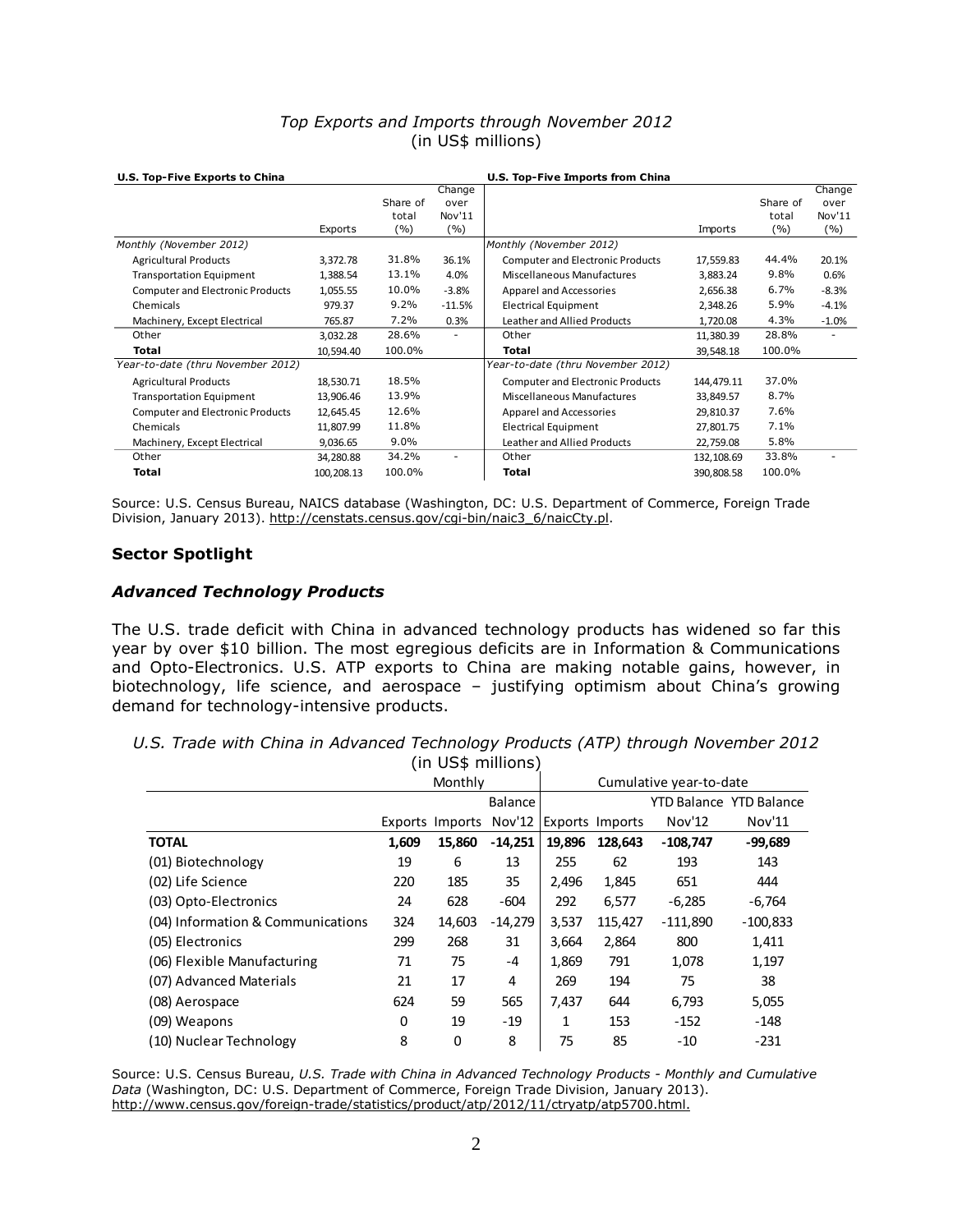# *Top Exports and Imports through November 2012* (in US\$ millions)

| U.S. Top-Five Exports to China          |            |          |                          |                                         |            |          |                          |
|-----------------------------------------|------------|----------|--------------------------|-----------------------------------------|------------|----------|--------------------------|
|                                         |            |          | Change                   |                                         |            |          | Change                   |
|                                         |            | Share of | over                     |                                         |            | Share of | over                     |
|                                         |            | total    | Nov'11                   |                                         |            | total    | Nov'11                   |
|                                         | Exports    | ( %)     | (%)                      |                                         | Imports    | (%)      | ( %)                     |
| Monthly (November 2012)                 |            |          |                          | Monthly (November 2012)                 |            |          |                          |
| <b>Agricultural Products</b>            | 3,372.78   | 31.8%    | 36.1%                    | <b>Computer and Electronic Products</b> | 17,559.83  | 44.4%    | 20.1%                    |
| <b>Transportation Equipment</b>         | 1,388.54   | 13.1%    | 4.0%                     | <b>Miscellaneous Manufactures</b>       | 3,883.24   | 9.8%     | 0.6%                     |
| <b>Computer and Electronic Products</b> | 1,055.55   | 10.0%    | $-3.8%$                  | Apparel and Accessories                 | 2,656.38   | 6.7%     | $-8.3%$                  |
| Chemicals                               | 979.37     | 9.2%     | $-11.5%$                 | <b>Electrical Equipment</b>             | 2,348.26   | 5.9%     | $-4.1%$                  |
| Machinery, Except Electrical            | 765.87     | 7.2%     | 0.3%                     | Leather and Allied Products             | 1,720.08   | 4.3%     | $-1.0%$                  |
| Other                                   | 3,032.28   | 28.6%    | $\overline{\phantom{a}}$ | Other                                   | 11,380.39  | 28.8%    |                          |
| Total                                   | 10,594.40  | 100.0%   |                          | Total                                   | 39,548.18  | 100.0%   |                          |
| Year-to-date (thru November 2012)       |            |          |                          | Year-to-date (thru November 2012)       |            |          |                          |
| <b>Agricultural Products</b>            | 18,530.71  | 18.5%    |                          | <b>Computer and Electronic Products</b> | 144,479.11 | 37.0%    |                          |
| <b>Transportation Equipment</b>         | 13,906.46  | 13.9%    |                          | <b>Miscellaneous Manufactures</b>       | 33,849.57  | 8.7%     |                          |
| <b>Computer and Electronic Products</b> | 12,645.45  | 12.6%    |                          | Apparel and Accessories                 | 29,810.37  | 7.6%     |                          |
| Chemicals                               | 11,807.99  | 11.8%    |                          | Electrical Equipment                    | 27,801.75  | 7.1%     |                          |
| Machinery, Except Electrical            | 9,036.65   | $9.0\%$  |                          | Leather and Allied Products             | 22,759.08  | 5.8%     |                          |
| Other                                   | 34,280.88  | 34.2%    | $\overline{\phantom{a}}$ | Other                                   | 132,108.69 | 33.8%    | $\overline{\phantom{0}}$ |
| Total                                   | 100,208.13 | 100.0%   |                          | Total                                   | 390,808.58 | 100.0%   |                          |

Source: U.S. Census Bureau, NAICS database (Washington, DC: U.S. Department of Commerce, Foreign Trade Division, January 2013). http://censtats.census.gov/cgi-bin/naic3\_6/naicCty.pl.

## **Sector Spotlight**

## *Advanced Technology Products*

The U.S. trade deficit with China in advanced technology products has widened so far this year by over \$10 billion. The most egregious deficits are in Information & Communications and Opto-Electronics. U.S. ATP exports to China are making notable gains, however, in biotechnology, life science, and aerospace – justifying optimism about China's growing demand for technology-intensive products.

|  | U.S. Trade with China in Advanced Technology Products (ATP) through November 2012 |                    |  |  |  |
|--|-----------------------------------------------------------------------------------|--------------------|--|--|--|
|  |                                                                                   | (in US\$ millions) |  |  |  |

|                                   |       | Monthly         |                | Cumulative year-to-date |                        |            |                                |
|-----------------------------------|-------|-----------------|----------------|-------------------------|------------------------|------------|--------------------------------|
|                                   |       |                 | <b>Balance</b> |                         |                        |            | <b>YTD Balance YTD Balance</b> |
|                                   |       | Exports Imports | Nov'12         |                         | <b>Exports Imports</b> | Nov'12     | Nov'11                         |
| <b>TOTAL</b>                      | 1,609 | 15,860          | $-14.251$      | 19,896                  | 128.643                | $-108,747$ | $-99,689$                      |
| (01) Biotechnology                | 19    | 6               | 13             | 255                     | 62                     | 193        | 143                            |
| (02) Life Science                 | 220   | 185             | 35             | 2,496                   | 1,845                  | 651        | 444                            |
| (03) Opto-Electronics             | 24    | 628             | $-604$         | 292                     | 6,577                  | $-6,285$   | $-6,764$                       |
| (04) Information & Communications | 324   | 14,603          | $-14,279$      | 3,537                   | 115,427                | $-111,890$ | $-100,833$                     |
| (05) Electronics                  | 299   | 268             | 31             | 3,664                   | 2,864                  | 800        | 1,411                          |
| (06) Flexible Manufacturing       | 71    | 75              | $-4$           | 1,869                   | 791                    | 1,078      | 1,197                          |
| (07) Advanced Materials           | 21    | 17              | 4              | 269                     | 194                    | 75         | 38                             |
| (08) Aerospace                    | 624   | 59              | 565            | 7,437                   | 644                    | 6,793      | 5,055                          |
| (09) Weapons                      | 0     | 19              | $-19$          | 1                       | 153                    | $-152$     | $-148$                         |
| (10) Nuclear Technology           | 8     | 0               | 8              | 75                      | 85                     | $-10$      | $-231$                         |

Source: U.S. Census Bureau, *U.S. Trade with China in Advanced Technology Products - Monthly and Cumulative Data* (Washington, DC: U.S. Department of Commerce, Foreign Trade Division, January 2013). http://www.census.gov/foreign-trade/statistics/product/atp/2012/11/ctryatp/atp5700.html.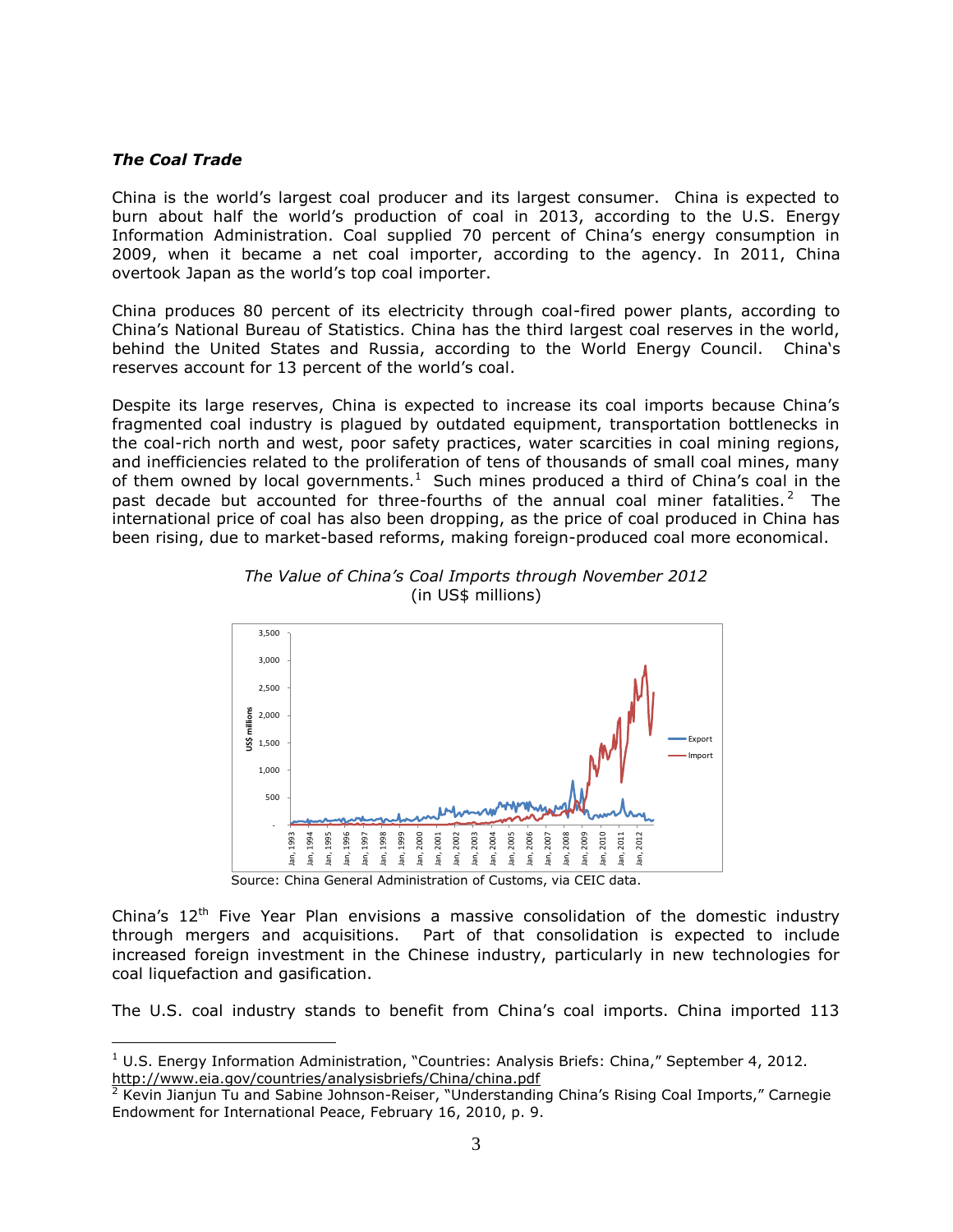#### *The Coal Trade*

 $\overline{a}$ 

China is the world's largest coal producer and its largest consumer. China is expected to burn about half the world's production of coal in 2013, according to the U.S. Energy Information Administration. Coal supplied 70 percent of China's energy consumption in 2009, when it became a net coal importer, according to the agency. In 2011, China overtook Japan as the world's top coal importer.

China produces 80 percent of its electricity through coal-fired power plants, according to China's National Bureau of Statistics. China has the third largest coal reserves in the world, behind the United States and Russia, according to the World Energy Council. China's reserves account for 13 percent of the world's coal.

Despite its large reserves, China is expected to increase its coal imports because China's fragmented coal industry is plagued by outdated equipment, transportation bottlenecks in the coal-rich north and west, poor safety practices, water scarcities in coal mining regions, and inefficiencies related to the proliferation of tens of thousands of small coal mines, many of them owned by local governments.<sup>1</sup> Such mines produced a third of China's coal in the past decade but accounted for three-fourths of the annual coal miner fatalities.<sup>2</sup> The international price of coal has also been dropping, as the price of coal produced in China has been rising, due to market-based reforms, making foreign-produced coal more economical.





Source: China General Administration of Customs, via CEIC data.

China's  $12<sup>th</sup>$  Five Year Plan envisions a massive consolidation of the domestic industry through mergers and acquisitions. Part of that consolidation is expected to include increased foreign investment in the Chinese industry, particularly in new technologies for coal liquefaction and gasification.

The U.S. coal industry stands to benefit from China's coal imports. China imported 113

 $1$  U.S. Energy Information Administration, "Countries: Analysis Briefs: China," September 4, 2012. <http://www.eia.gov/countries/analysisbriefs/China/china.pdf>

 $2$  Kevin Jianjun Tu and Sabine Johnson-Reiser, "Understanding China's Rising Coal Imports," Carnegie Endowment for International Peace, February 16, 2010, p. 9.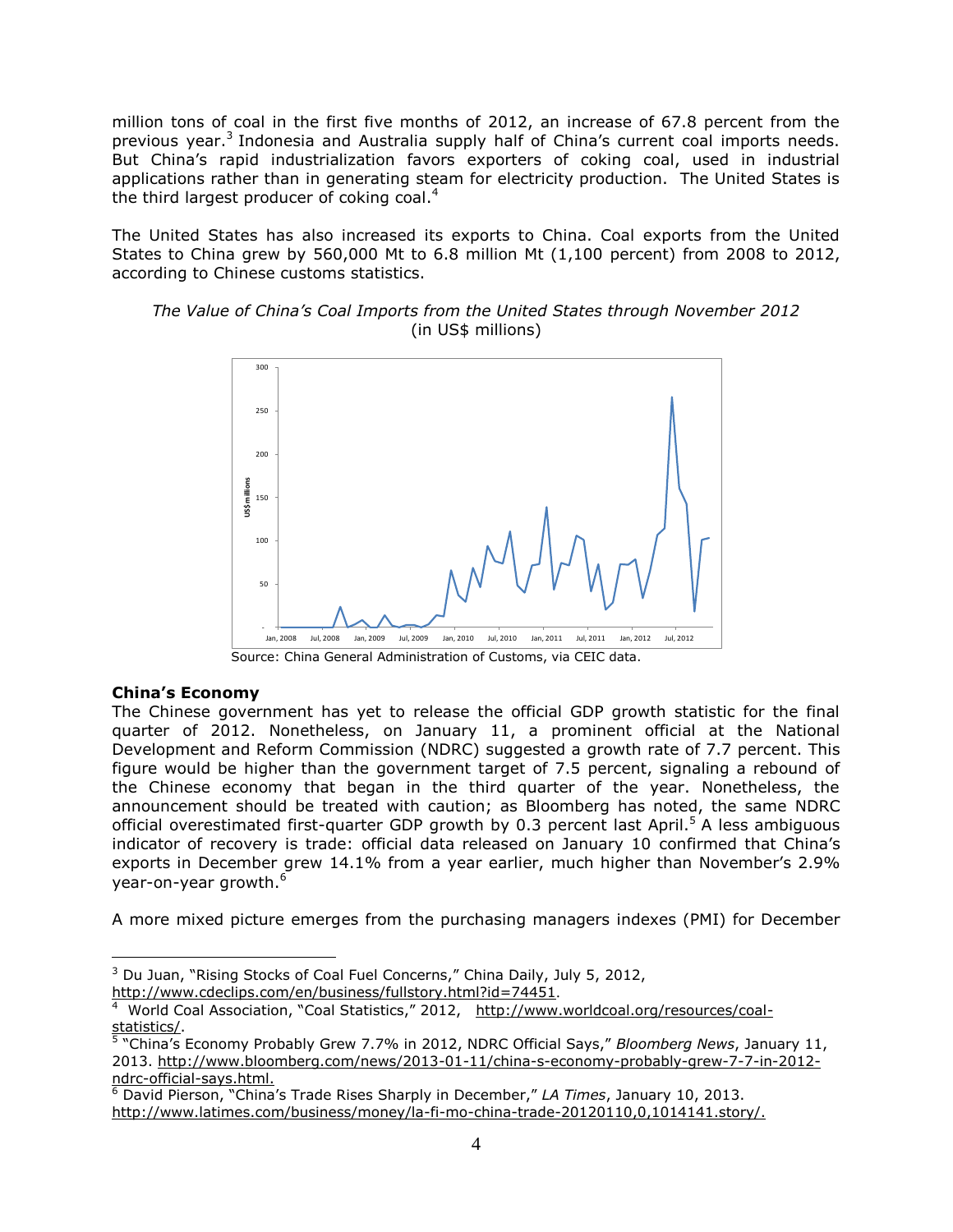million tons of coal in the first five months of 2012, an increase of 67.8 percent from the previous year.<sup>3</sup> Indonesia and Australia supply half of China's current coal imports needs. But China's rapid industrialization favors exporters of coking coal, used in industrial applications rather than in generating steam for electricity production. The United States is the third largest producer of coking coal. $4$ 

The United States has also increased its exports to China. Coal exports from the United States to China grew by 560,000 Mt to 6.8 million Mt (1,100 percent) from 2008 to 2012, according to Chinese customs statistics.



*The Value of China's Coal Imports from the United States through November 2012* (in US\$ millions)

**China's Economy**

 $\overline{a}$ 

The Chinese government has yet to release the official GDP growth statistic for the final quarter of 2012. Nonetheless, on January 11, a prominent official at the National Development and Reform Commission (NDRC) suggested a growth rate of 7.7 percent. This figure would be higher than the government target of 7.5 percent, signaling a rebound of the Chinese economy that began in the third quarter of the year. Nonetheless, the announcement should be treated with caution; as Bloomberg has noted, the same NDRC official overestimated first-quarter GDP growth by 0.3 percent last April.<sup>5</sup> A less ambiguous indicator of recovery is trade: official data released on January 10 confirmed that China's exports in December grew 14.1% from a year earlier, much higher than November's 2.9% year-on-year growth.<sup>6</sup>

A more mixed picture emerges from the purchasing managers indexes (PMI) for December

<sup>&</sup>lt;sup>3</sup> Du Juan, "Rising Stocks of Coal Fuel Concerns," China Daily, July 5, 2012, <http://www.cdeclips.com/en/business/fullstory.html?id=74451>.

<sup>&</sup>lt;sup>4</sup> World Coal Association, "Coal Statistics," 2012, [http://www.worldcoal.org/resources/coal](http://www.worldcoal.org/resources/coal-statistics/)[statistics/.](http://www.worldcoal.org/resources/coal-statistics/) 5 "China's Economy Probably Grew 7.7% in 2012, NDRC Official Says," *Bloomberg News*, January 11,

<sup>2013.</sup> http://www.bloomberg.com/news/2013-01-11/china-s-economy-probably-grew-7-7-in-2012 ndrc-official-says.html.

<sup>6</sup> David Pierson, "China's Trade Rises Sharply in December," *LA Times*, January 10, 2013. http://www.latimes.com/business/money/la-fi-mo-china-trade-20120110,0,1014141.story/.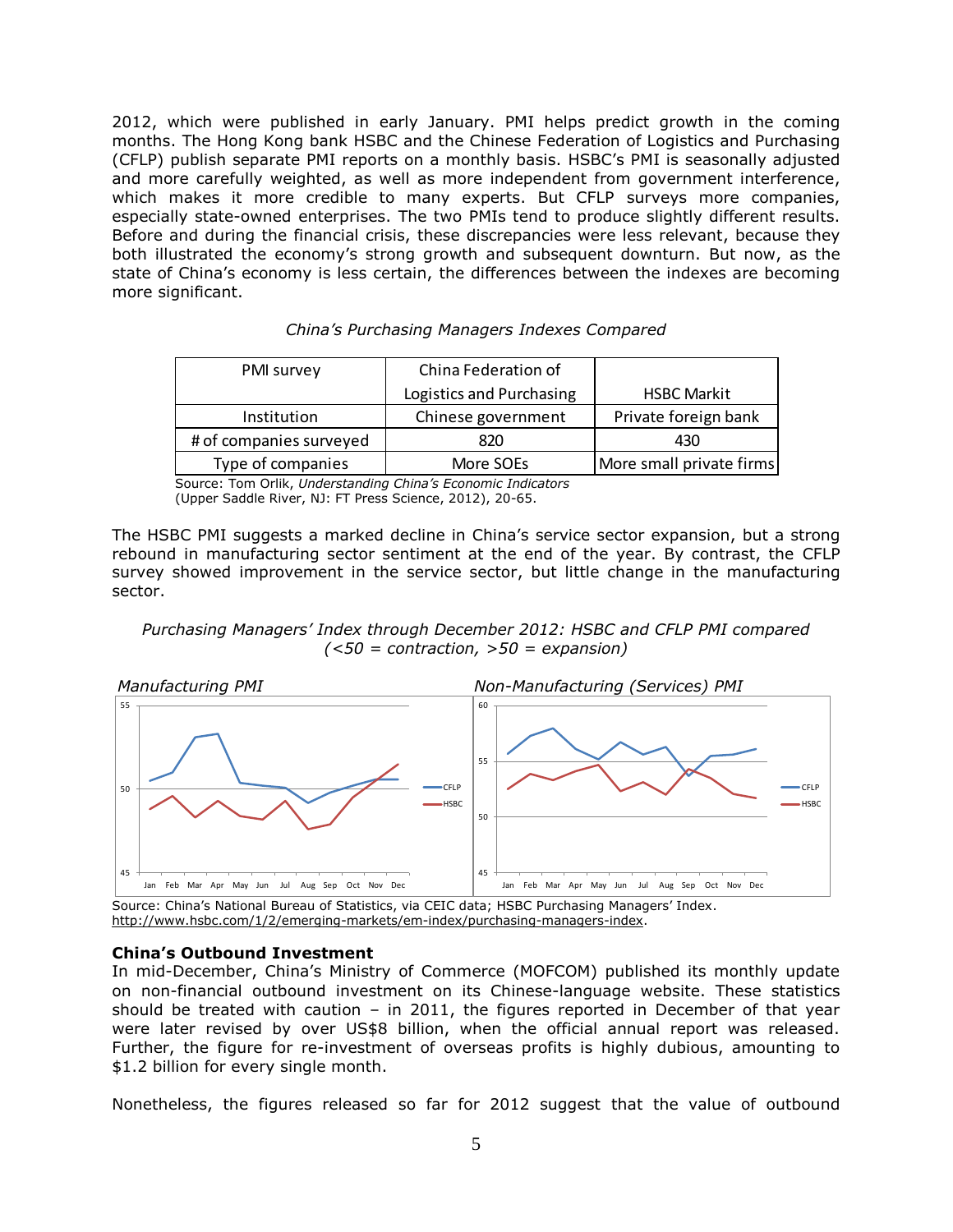2012, which were published in early January. PMI helps predict growth in the coming months. The Hong Kong bank HSBC and the Chinese Federation of Logistics and Purchasing (CFLP) publish separate PMI reports on a monthly basis. HSBC's PMI is seasonally adjusted and more carefully weighted, as well as more independent from government interference, which makes it more credible to many experts. But CFLP surveys more companies, especially state-owned enterprises. The two PMIs tend to produce slightly different results. Before and during the financial crisis, these discrepancies were less relevant, because they both illustrated the economy's strong growth and subsequent downturn. But now, as the state of China's economy is less certain, the differences between the indexes are becoming more significant.

| China's Purchasing Managers Indexes Compared |  |  |  |
|----------------------------------------------|--|--|--|
|----------------------------------------------|--|--|--|

| PMI survey              | China Federation of      |                          |
|-------------------------|--------------------------|--------------------------|
|                         | Logistics and Purchasing | <b>HSBC Markit</b>       |
| Institution             | Chinese government       | Private foreign bank     |
| # of companies surveyed | 820                      | 430                      |
| Type of companies       | More SOEs                | More small private firms |

Source: Tom Orlik, *Understanding China's Economic Indicators* (Upper Saddle River, NJ: FT Press Science, 2012), 20-65.

The HSBC PMI suggests a marked decline in China's service sector expansion, but a strong rebound in manufacturing sector sentiment at the end of the year. By contrast, the CFLP survey showed improvement in the service sector, but little change in the manufacturing sector.

## *Purchasing Managers' Index through December 2012: HSBC and CFLP PMI compared (<50 = contraction, >50 = expansion)*



Source: China's National Bureau of Statistics, via CEIC data; HSBC Purchasing Managers' Index. http://www.hsbc.com/1/2/emerging-markets/em-index/purchasing-managers-index.

## **China's Outbound Investment**

In mid-December, China's Ministry of Commerce (MOFCOM) published its monthly update on non-financial outbound investment on its Chinese-language website. These statistics should be treated with caution  $-$  in 2011, the figures reported in December of that year were later revised by over US\$8 billion, when the official annual report was released. Further, the figure for re-investment of overseas profits is highly dubious, amounting to \$1.2 billion for every single month.

Nonetheless, the figures released so far for 2012 suggest that the value of outbound